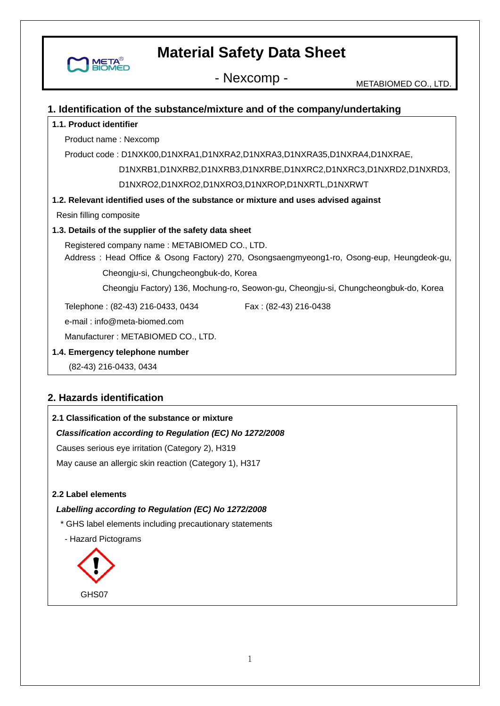- Nexcomp - METABIOMED CO., LTD.

## **1. Identification of the substance/mixture and of the company/undertaking 1.1. Product identifier**  Product name : Nexcomp Product code : D1NXK00,D1NXRA1,D1NXRA2,D1NXRA3,D1NXRA35,D1NXRA4,D1NXRAE,

D1NXRB1,D1NXRB2,D1NXRB3,D1NXRBE,D1NXRC2,D1NXRC3,D1NXRD2,D1NXRD3,

D1NXRO2,D1NXRO2,D1NXRO3,D1NXROP,D1NXRTL,D1NXRWT

#### **1.2. Relevant identified uses of the substance or mixture and uses advised against**

Resin filling composite

META

#### **1.3. Details of the supplier of the safety data sheet**

Registered company name : METABIOMED CO., LTD.

Address : Head Office & Osong Factory) 270, Osongsaengmyeong1-ro, Osong-eup, Heungdeok-gu,

Cheongju-si, Chungcheongbuk-do, Korea

Cheongju Factory) 136, Mochung-ro, Seowon-gu, Cheongju-si, Chungcheongbuk-do, Korea

Telephone: (82-43) 216-0433, 0434 Fax: (82-43) 216-0438

e-mail : info@meta-biomed.com

Manufacturer : METABIOMED CO., LTD.

#### **1.4. Emergency telephone number**

(82-43) 216-0433, 0434

### **2. Hazards identification**

## **2.1 Classification of the substance or mixture**

### *Classification according to Regulation (EC) No 1272/2008*

Causes serious eye irritation (Category 2), H319

May cause an allergic skin reaction (Category 1), H317

#### **2.2 Label elements**

#### *Labelling according to Regulation (EC) No 1272/2008*

- \* GHS label elements including precautionary statements
- Hazard Pictograms

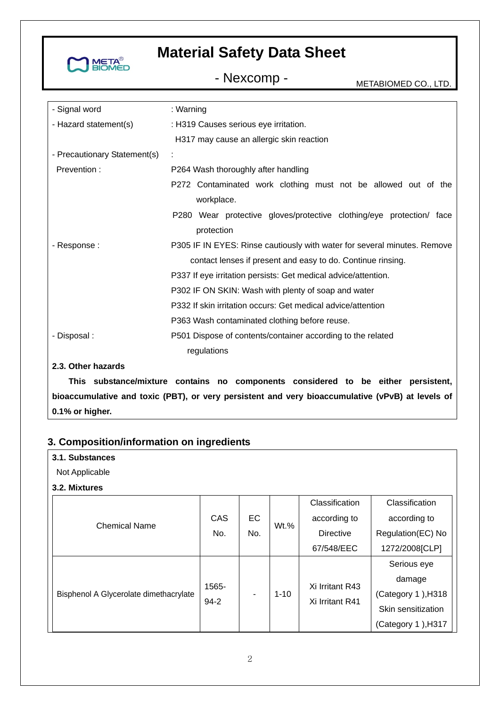

- Nexcomp - METABIOMED CO., LTD.

| - Signal word                   | : Warning                                                                |  |  |  |
|---------------------------------|--------------------------------------------------------------------------|--|--|--|
| - Hazard statement(s)           | : H319 Causes serious eye irritation.                                    |  |  |  |
|                                 | H317 may cause an allergic skin reaction                                 |  |  |  |
| - Precautionary Statement(s)    |                                                                          |  |  |  |
| Prevention:                     | P264 Wash thoroughly after handling                                      |  |  |  |
|                                 | P272 Contaminated work clothing must not be allowed out of the           |  |  |  |
|                                 | workplace.                                                               |  |  |  |
|                                 | P280 Wear protective gloves/protective clothing/eye protection/ face     |  |  |  |
|                                 | protection                                                               |  |  |  |
| - Response :                    | P305 IF IN EYES: Rinse cautiously with water for several minutes. Remove |  |  |  |
|                                 | contact lenses if present and easy to do. Continue rinsing.              |  |  |  |
|                                 | P337 If eye irritation persists: Get medical advice/attention.           |  |  |  |
|                                 | P302 IF ON SKIN: Wash with plenty of soap and water                      |  |  |  |
|                                 | P332 If skin irritation occurs: Get medical advice/attention             |  |  |  |
|                                 | P363 Wash contaminated clothing before reuse.                            |  |  |  |
| - Disposal :                    | P501 Dispose of contents/container according to the related              |  |  |  |
|                                 | regulations                                                              |  |  |  |
| 2.3. Other hazards              |                                                                          |  |  |  |
| This coloridate and the booking |                                                                          |  |  |  |

**This substance/mixture contains no components considered to be either persistent, bioaccumulative and toxic (PBT), or very persistent and very bioaccumulative (vPvB) at levels of 0.1% or higher.** 

### **3. Composition/information on ingredients**

| 3.1. Substances                        |                   |     |          |                  |                    |  |
|----------------------------------------|-------------------|-----|----------|------------------|--------------------|--|
| Not Applicable                         |                   |     |          |                  |                    |  |
| 3.2. Mixtures                          |                   |     |          |                  |                    |  |
|                                        |                   |     |          | Classification   | Classification     |  |
|                                        | CAS               | EC  | Wt.%     | according to     | according to       |  |
| <b>Chemical Name</b>                   | No.               | No. |          | <b>Directive</b> | Regulation(EC) No  |  |
|                                        |                   |     |          | 67/548/EEC       | 1272/2008[CLP]     |  |
|                                        |                   |     |          |                  | Serious eye        |  |
| Bisphenol A Glycerolate dimethacrylate | 1565-<br>$94 - 2$ |     | $1 - 10$ | Xi Irritant R43  | damage             |  |
|                                        |                   |     |          | Xi Irritant R41  | (Category 1), H318 |  |
|                                        |                   |     |          |                  | Skin sensitization |  |
|                                        |                   |     |          |                  | (Category 1), H317 |  |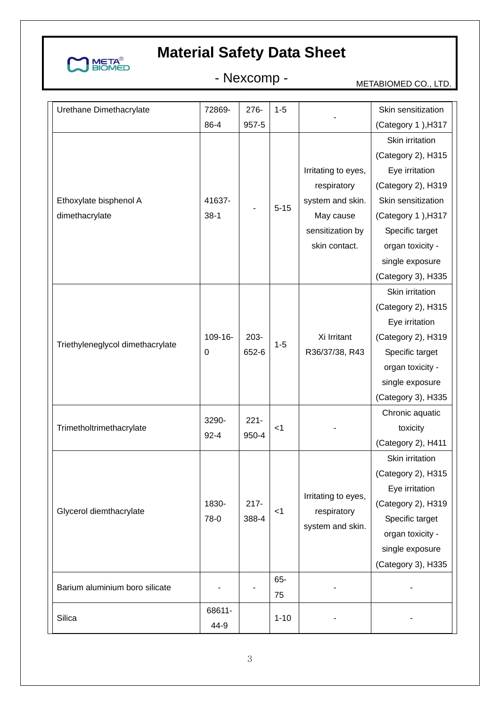

# - Nexcomp - METABIOMED CO., LTD.

| Urethane Dimethacrylate          | 72869-                      | 276-             | $1 - 5$   |                                    | Skin sensitization |
|----------------------------------|-----------------------------|------------------|-----------|------------------------------------|--------------------|
|                                  | 86-4                        | 957-5            |           |                                    | (Category 1), H317 |
|                                  |                             |                  |           |                                    | Skin irritation    |
|                                  |                             |                  |           |                                    | (Category 2), H315 |
|                                  |                             |                  |           | Irritating to eyes,                | Eye irritation     |
|                                  |                             |                  |           | respiratory                        | (Category 2), H319 |
| Ethoxylate bisphenol A           | 41637-                      |                  |           | system and skin.                   | Skin sensitization |
| dimethacrylate                   | $38-1$                      |                  | $5 - 15$  | May cause                          | (Category 1), H317 |
|                                  |                             |                  |           | sensitization by                   | Specific target    |
|                                  |                             |                  |           | skin contact.                      | organ toxicity -   |
|                                  |                             |                  |           |                                    | single exposure    |
|                                  |                             |                  |           |                                    | (Category 3), H335 |
|                                  |                             |                  |           |                                    | Skin irritation    |
|                                  |                             |                  |           |                                    | (Category 2), H315 |
|                                  |                             |                  |           |                                    | Eye irritation     |
| Triethyleneglycol dimethacrylate | $109 - 16 -$<br>$\mathbf 0$ | $203 -$<br>652-6 | $1 - 5$   | Xi Irritant                        | (Category 2), H319 |
|                                  |                             |                  |           | R36/37/38, R43                     | Specific target    |
|                                  |                             |                  |           |                                    | organ toxicity -   |
|                                  |                             |                  |           |                                    | single exposure    |
|                                  |                             |                  |           |                                    | (Category 3), H335 |
|                                  | 3290-                       | $221 -$          |           |                                    | Chronic aquatic    |
| Trimetholtrimethacrylate         | $92 - 4$                    | 950-4            | $<$ 1     |                                    | toxicity           |
|                                  |                             |                  |           |                                    | (Category 2), H411 |
|                                  |                             |                  |           |                                    | Skin irritation    |
|                                  |                             |                  |           |                                    | (Category 2), H315 |
|                                  |                             |                  |           | Irritating to eyes,<br>respiratory | Eye irritation     |
| Glycerol diemthacrylate          | 1830-                       | $217 -$          | $<$ 1     |                                    | (Category 2), H319 |
|                                  | 78-0                        | 388-4            |           | system and skin.                   | Specific target    |
|                                  |                             |                  |           |                                    | organ toxicity -   |
|                                  |                             |                  |           |                                    | single exposure    |
|                                  |                             |                  |           |                                    | (Category 3), H335 |
| Barium aluminium boro silicate   |                             |                  | 65-<br>75 |                                    |                    |
| Silica                           | 68611-<br>44-9              |                  | $1 - 10$  |                                    |                    |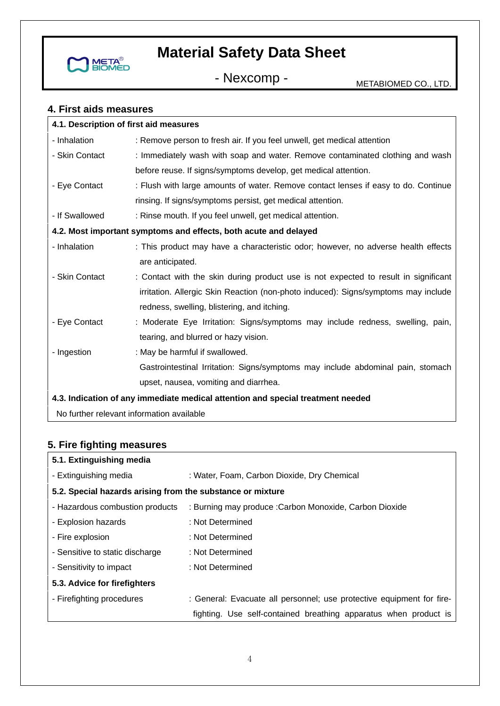

- Nexcomp - METABIOMED CO., LTD.

#### **4. First aids measures**

| 4.1. Description of first aid measures                                          |                                                                                     |  |  |  |
|---------------------------------------------------------------------------------|-------------------------------------------------------------------------------------|--|--|--|
| - Inhalation                                                                    | : Remove person to fresh air. If you feel unwell, get medical attention             |  |  |  |
| - Skin Contact                                                                  | : Immediately wash with soap and water. Remove contaminated clothing and wash       |  |  |  |
|                                                                                 | before reuse. If signs/symptoms develop, get medical attention.                     |  |  |  |
| - Eye Contact                                                                   | : Flush with large amounts of water. Remove contact lenses if easy to do. Continue  |  |  |  |
|                                                                                 | rinsing. If signs/symptoms persist, get medical attention.                          |  |  |  |
| - If Swallowed                                                                  | : Rinse mouth. If you feel unwell, get medical attention.                           |  |  |  |
|                                                                                 | 4.2. Most important symptoms and effects, both acute and delayed                    |  |  |  |
| - Inhalation                                                                    | : This product may have a characteristic odor; however, no adverse health effects   |  |  |  |
|                                                                                 | are anticipated.                                                                    |  |  |  |
| - Skin Contact                                                                  | : Contact with the skin during product use is not expected to result in significant |  |  |  |
|                                                                                 | irritation. Allergic Skin Reaction (non-photo induced): Signs/symptoms may include  |  |  |  |
|                                                                                 | redness, swelling, blistering, and itching.                                         |  |  |  |
| - Eye Contact                                                                   | : Moderate Eye Irritation: Signs/symptoms may include redness, swelling, pain,      |  |  |  |
|                                                                                 | tearing, and blurred or hazy vision.                                                |  |  |  |
| - Ingestion                                                                     | : May be harmful if swallowed.                                                      |  |  |  |
|                                                                                 | Gastrointestinal Irritation: Signs/symptoms may include abdominal pain, stomach     |  |  |  |
|                                                                                 | upset, nausea, vomiting and diarrhea.                                               |  |  |  |
| 4.3. Indication of any immediate medical attention and special treatment needed |                                                                                     |  |  |  |

No further relevant information available

### **5. Fire fighting measures**

| 5.1. Extinguishing media                                   |                                                                       |
|------------------------------------------------------------|-----------------------------------------------------------------------|
| - Extinguishing media                                      | : Water, Foam, Carbon Dioxide, Dry Chemical                           |
| 5.2. Special hazards arising from the substance or mixture |                                                                       |
| - Hazardous combustion products                            | : Burning may produce : Carbon Monoxide, Carbon Dioxide               |
| - Explosion hazards                                        | : Not Determined                                                      |
| - Fire explosion                                           | : Not Determined                                                      |
| - Sensitive to static discharge                            | : Not Determined                                                      |
| - Sensitivity to impact                                    | : Not Determined                                                      |
| 5.3. Advice for firefighters                               |                                                                       |
| - Firefighting procedures                                  | : General: Evacuate all personnel; use protective equipment for fire- |
|                                                            | fighting. Use self-contained breathing apparatus when product is      |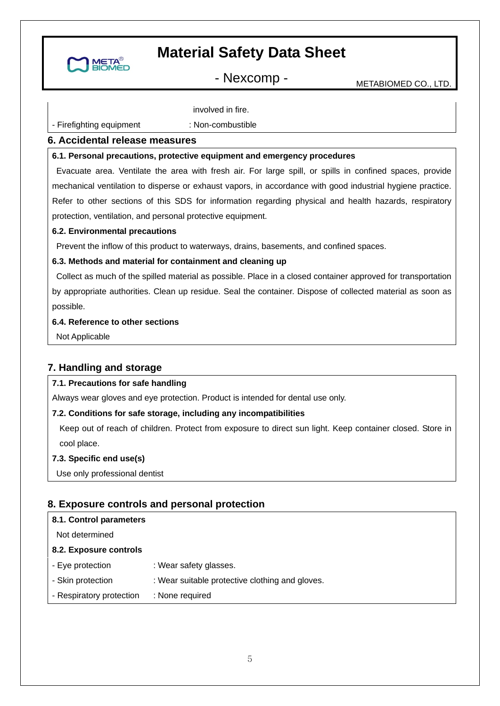

- Nexcomp - METABIOMED CO., LTD.

- Firefighting equipment

involved in fire. : Non-combustible

#### **6. Accidental release measures**

#### **6.1. Personal precautions, protective equipment and emergency procedures**

 Evacuate area. Ventilate the area with fresh air. For large spill, or spills in confined spaces, provide mechanical ventilation to disperse or exhaust vapors, in accordance with good industrial hygiene practice. Refer to other sections of this SDS for information regarding physical and health hazards, respiratory protection, ventilation, and personal protective equipment.

#### **6.2. Environmental precautions**

Prevent the inflow of this product to waterways, drains, basements, and confined spaces.

#### **6.3. Methods and material for containment and cleaning up**

 Collect as much of the spilled material as possible. Place in a closed container approved for transportation by appropriate authorities. Clean up residue. Seal the container. Dispose of collected material as soon as possible.

#### **6.4. Reference to other sections**

Not Applicable

### **7. Handling and storage**

#### **7.1. Precautions for safe handling**

Always wear gloves and eye protection. Product is intended for dental use only.

#### **7.2. Conditions for safe storage, including any incompatibilities**

Keep out of reach of children. Protect from exposure to direct sun light. Keep container closed. Store in cool place.

#### **7.3. Specific end use(s)**

Use only professional dentist

### **8. Exposure controls and personal protection**

#### **8.1. Control parameters**

Not determined

#### **8.2. Exposure controls**

- Eye protection : Wear safety glasses.
- Skin protection : Wear suitable protective clothing and gloves.
- Respiratory protection : None required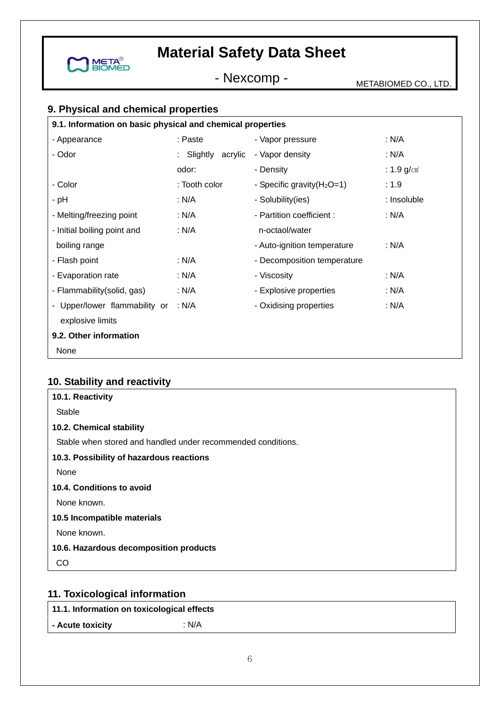

- Nexcomp - METABIOMED CO., LTD.

## **9. Physical and chemical properties**

| 9.1. Information on basic physical and chemical properties |                    |                               |                           |  |
|------------------------------------------------------------|--------------------|-------------------------------|---------------------------|--|
| - Appearance                                               | : Paste            | - Vapor pressure              | : N/A                     |  |
| - Odor                                                     | : Slightly acrylic | - Vapor density               | : N/A                     |  |
|                                                            | odor:              | - Density                     | : $1.9$ g/cm <sup>3</sup> |  |
| - Color                                                    | : Tooth color      | - Specific gravity $(H_2O=1)$ | :1.9                      |  |
| - pH                                                       | : N/A              | - Solubility(ies)             | : Insoluble               |  |
| - Melting/freezing point                                   | : N/A              | - Partition coefficient :     | : N/A                     |  |
| - Initial boiling point and                                | : N/A              | n-octaol/water                |                           |  |
| boiling range                                              |                    | - Auto-ignition temperature   | : N/A                     |  |
| - Flash point                                              | : N/A              | - Decomposition temperature   |                           |  |
| - Evaporation rate                                         | : N/A              | - Viscosity                   | : N/A                     |  |
| - Flammability(solid, gas)                                 | : N/A              | - Explosive properties        | : N/A                     |  |
| - Upper/lower flammability or                              | : N/A              | - Oxidising properties        | : N/A                     |  |
| explosive limits                                           |                    |                               |                           |  |
| 9.2. Other information                                     |                    |                               |                           |  |
| None                                                       |                    |                               |                           |  |

## **10. Stability and reactivity**

| 10.1. Reactivity                                             |
|--------------------------------------------------------------|
| Stable                                                       |
| 10.2. Chemical stability                                     |
| Stable when stored and handled under recommended conditions. |
| 10.3. Possibility of hazardous reactions                     |
| None                                                         |
| 10.4. Conditions to avoid                                    |
| None known.                                                  |
| 10.5 Incompatible materials                                  |
| None known.                                                  |
| 10.6. Hazardous decomposition products                       |
| CO                                                           |
|                                                              |

## **11. Toxicological information**

**11.1. Information on toxicological effects** 

**- Acute toxicity** : N/A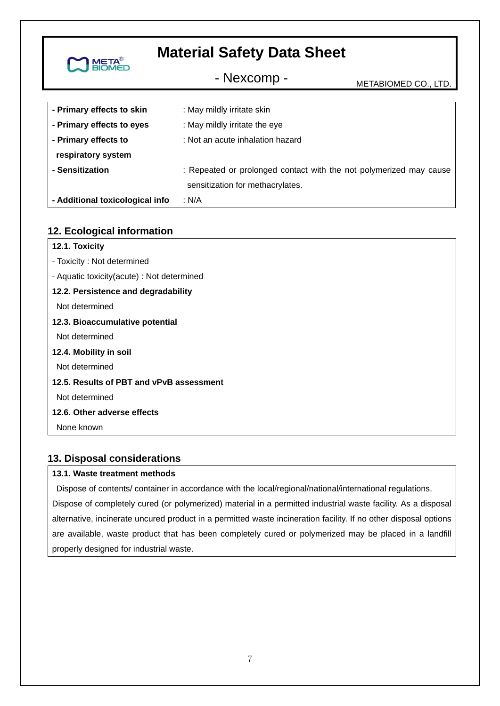| <b>META<sup>®</sup></b><br>BIOMED | <b>Material Safety Data Sheet</b>                                                                      |                      |
|-----------------------------------|--------------------------------------------------------------------------------------------------------|----------------------|
|                                   | - Nexcomp -                                                                                            | METABIOMED CO., LTD. |
| - Primary effects to skin         | : May mildly irritate skin                                                                             |                      |
| - Primary effects to eyes         | : May mildly irritate the eye                                                                          |                      |
| - Primary effects to              | : Not an acute inhalation hazard                                                                       |                      |
| respiratory system                |                                                                                                        |                      |
| - Sensitization                   | : Repeated or prolonged contact with the not polymerized may cause<br>sensitization for methacrylates. |                      |
| - Additional toxicological info   | : N/A                                                                                                  |                      |

### **12. Ecological information**

| 12.1. Toxicity                             |
|--------------------------------------------|
| - Toxicity: Not determined                 |
| - Aquatic toxicity(acute) : Not determined |
| 12.2. Persistence and degradability        |
| Not determined                             |
| 12.3. Bioaccumulative potential            |
| Not determined                             |
| 12.4. Mobility in soil                     |
| Not determined                             |
| 12.5. Results of PBT and vPvB assessment   |
| Not determined                             |
| 12.6. Other adverse effects                |
| None known                                 |
|                                            |

### **13. Disposal considerations**

#### **13.1. Waste treatment methods**

 Dispose of contents/ container in accordance with the local/regional/national/international regulations. Dispose of completely cured (or polymerized) material in a permitted industrial waste facility. As a disposal alternative, incinerate uncured product in a permitted waste incineration facility. If no other disposal options are available, waste product that has been completely cured or polymerized may be placed in a landfill properly designed for industrial waste.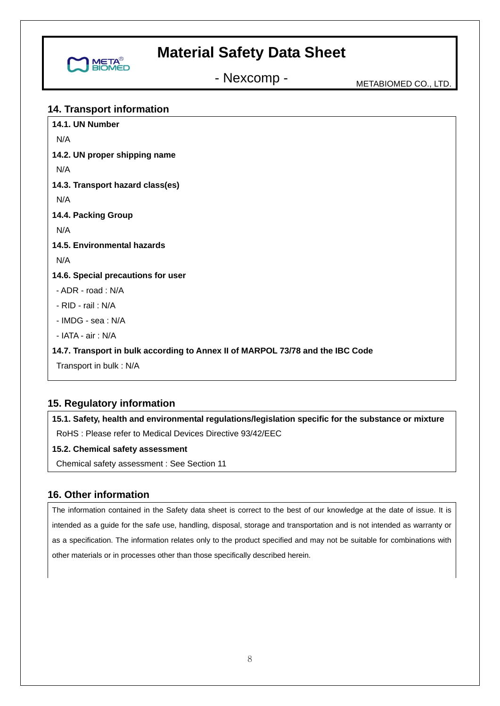

- Nexcomp - METABIOMED CO., LTD.

#### **14. Transport information**

| 14.1. UN Number                                                                |
|--------------------------------------------------------------------------------|
| N/A                                                                            |
| 14.2. UN proper shipping name                                                  |
| N/A                                                                            |
| 14.3. Transport hazard class(es)                                               |
| N/A                                                                            |
| 14.4. Packing Group                                                            |
| N/A                                                                            |
| 14.5. Environmental hazards                                                    |
| N/A                                                                            |
| 14.6. Special precautions for user                                             |
| - ADR - road: N/A                                                              |
| - RID - rail: N/A                                                              |
| - IMDG - sea: N/A                                                              |
| - IATA - air: N/A                                                              |
| 14.7. Transport in bulk according to Annex II of MARPOL 73/78 and the IBC Code |
| Transport in bulk: N/A                                                         |

### **15. Regulatory information**

**15.1. Safety, health and environmental regulations/legislation specific for the substance or mixture**  RoHS : Please refer to Medical Devices Directive 93/42/EEC

#### **15.2. Chemical safety assessment**

Chemical safety assessment : See Section 11

### **16. Other information**

The information contained in the Safety data sheet is correct to the best of our knowledge at the date of issue. It is intended as a guide for the safe use, handling, disposal, storage and transportation and is not intended as warranty or as a specification. The information relates only to the product specified and may not be suitable for combinations with other materials or in processes other than those specifically described herein.